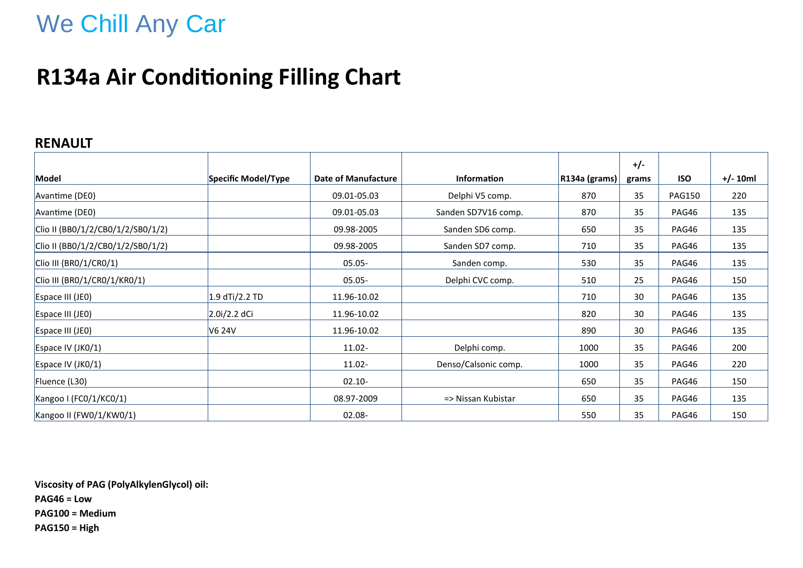## **R134a Air Conditioning Filling Chart**

### **RENAULT**

|                                   |                     |                            |                      |               | $+/-$ |               |            |
|-----------------------------------|---------------------|----------------------------|----------------------|---------------|-------|---------------|------------|
| Model                             | Specific Model/Type | <b>Date of Manufacture</b> | <b>Information</b>   | R134a (grams) | grams | <b>ISO</b>    | $+/- 10ml$ |
| Avantime (DE0)                    |                     | 09.01-05.03                | Delphi V5 comp.      | 870           | 35    | <b>PAG150</b> | 220        |
| Avantime (DE0)                    |                     | 09.01-05.03                | Sanden SD7V16 comp.  | 870           | 35    | PAG46         | 135        |
| Clio II (BB0/1/2/CB0/1/2/SB0/1/2) |                     | 09.98-2005                 | Sanden SD6 comp.     | 650           | 35    | PAG46         | 135        |
| Clio II (BB0/1/2/CB0/1/2/SB0/1/2) |                     | 09.98-2005                 | Sanden SD7 comp.     | 710           | 35    | PAG46         | 135        |
| Clio III (BRO/1/CRO/1)            |                     | $05.05 -$                  | Sanden comp.         | 530           | 35    | PAG46         | 135        |
| Clio III (BRO/1/CRO/1/KRO/1)      |                     | $05.05 -$                  | Delphi CVC comp.     | 510           | 25    | PAG46         | 150        |
| Espace III (JEO)                  | 1.9 dTi/2.2 TD      | 11.96-10.02                |                      | 710           | 30    | PAG46         | 135        |
| Espace III (JEO)                  | 2.0i/2.2 dCi        | 11.96-10.02                |                      | 820           | 30    | PAG46         | 135        |
| Espace III (JEO)                  | V6 24V              | 11.96-10.02                |                      | 890           | 30    | PAG46         | 135        |
| Espace IV (JK0/1)                 |                     | $11.02 -$                  | Delphi comp.         | 1000          | 35    | PAG46         | 200        |
| Espace IV (JK0/1)                 |                     | $11.02 -$                  | Denso/Calsonic comp. | 1000          | 35    | PAG46         | 220        |
| Fluence (L30)                     |                     | $02.10 -$                  |                      | 650           | 35    | PAG46         | 150        |
| Kangoo I (FC0/1/KC0/1)            |                     | 08.97-2009                 | => Nissan Kubistar   | 650           | 35    | PAG46         | 135        |
| Kangoo II (FW0/1/KW0/1)           |                     | 02.08-                     |                      | 550           | 35    | PAG46         | 150        |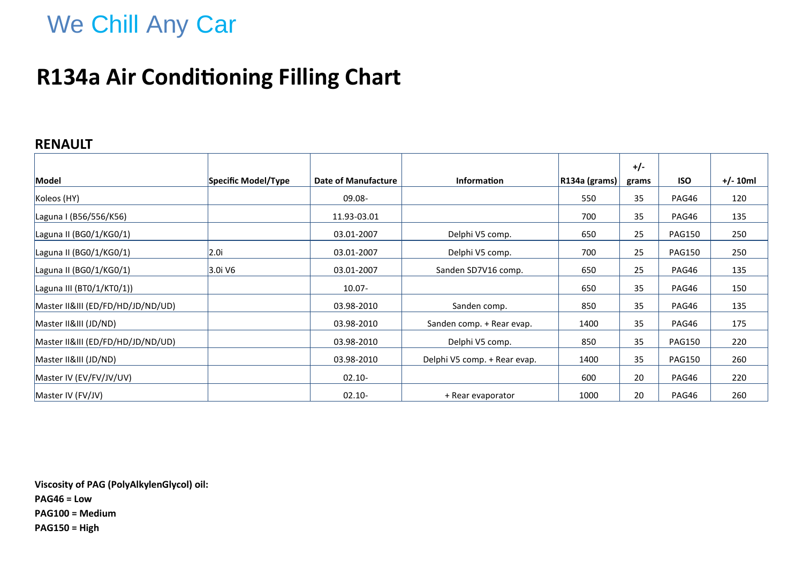## **R134a Air Conditioning Filling Chart**

### **RENAULT**

|                                   |                       |                     |                              |               | $+/-$ |               |            |
|-----------------------------------|-----------------------|---------------------|------------------------------|---------------|-------|---------------|------------|
| Model                             | Specific Model/Type   | Date of Manufacture | <b>Information</b>           | R134a (grams) | grams | <b>ISO</b>    | $+/- 10ml$ |
| Koleos (HY)                       |                       | 09.08-              |                              | 550           | 35    | PAG46         | 120        |
| Laguna I (B56/556/K56)            |                       | 11.93-03.01         |                              | 700           | 35    | PAG46         | 135        |
| Laguna II (BG0/1/KG0/1)           |                       | 03.01-2007          | Delphi V5 comp.              | 650           | 25    | <b>PAG150</b> | 250        |
| Laguna II (BG0/1/KG0/1)           | 2.0i                  | 03.01-2007          | Delphi V5 comp.              | 700           | 25    | <b>PAG150</b> | 250        |
| Laguna II (BG0/1/KG0/1)           | $3.0i$ V <sub>6</sub> | 03.01-2007          | Sanden SD7V16 comp.          | 650           | 25    | PAG46         | 135        |
| Laguna III (BTO/1/KTO/1))         |                       | $10.07 -$           |                              | 650           | 35    | PAG46         | 150        |
| Master II&III (ED/FD/HD/JD/ND/UD) |                       | 03.98-2010          | Sanden comp.                 | 850           | 35    | PAG46         | 135        |
| Master II&III (JD/ND)             |                       | 03.98-2010          | Sanden comp. + Rear evap.    | 1400          | 35    | PAG46         | 175        |
| Master II&III (ED/FD/HD/JD/ND/UD) |                       | 03.98-2010          | Delphi V5 comp.              | 850           | 35    | <b>PAG150</b> | 220        |
| Master II&III (JD/ND)             |                       | 03.98-2010          | Delphi V5 comp. + Rear evap. | 1400          | 35    | <b>PAG150</b> | 260        |
| Master IV (EV/FV/JV/UV)           |                       | $02.10 -$           |                              | 600           | 20    | PAG46         | 220        |
| Master IV (FV/JV)                 |                       | $02.10 -$           | + Rear evaporator            | 1000          | 20    | PAG46         | 260        |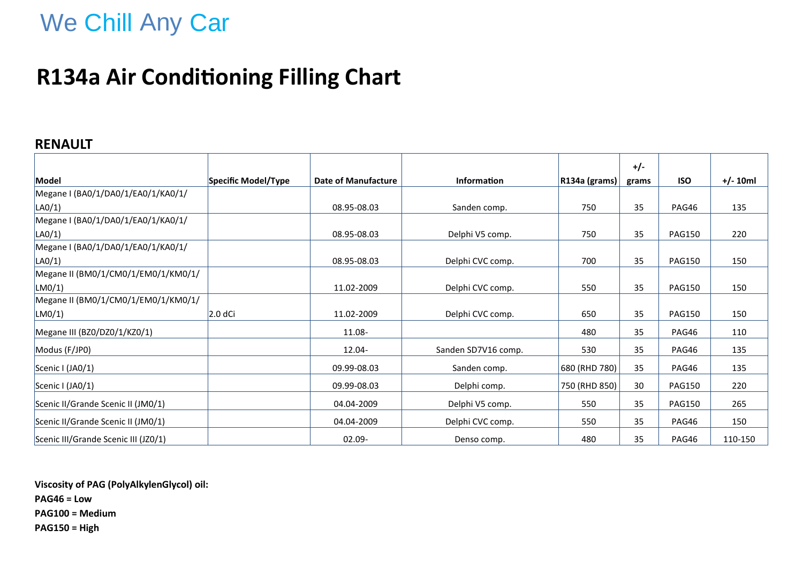## **R134a Air Conditioning Filling Chart**

### **RENAULT**

|                                      |                     |                            |                     |               | $+/-$ |               |            |
|--------------------------------------|---------------------|----------------------------|---------------------|---------------|-------|---------------|------------|
| Model                                | Specific Model/Type | <b>Date of Manufacture</b> | Information         | R134a (grams) | grams | <b>ISO</b>    | $+/- 10ml$ |
| Megane I (BA0/1/DA0/1/EA0/1/KA0/1/   |                     |                            |                     |               |       |               |            |
| LAO/1)                               |                     | 08.95-08.03                | Sanden comp.        | 750           | 35    | PAG46         | 135        |
| Megane I (BA0/1/DA0/1/EA0/1/KA0/1/   |                     |                            |                     |               |       |               |            |
| LAO/1)                               |                     | 08.95-08.03                | Delphi V5 comp.     | 750           | 35    | <b>PAG150</b> | 220        |
| Megane I (BA0/1/DA0/1/EA0/1/KA0/1/   |                     |                            |                     |               |       |               |            |
| LAO/1)                               |                     | 08.95-08.03                | Delphi CVC comp.    | 700           | 35    | <b>PAG150</b> | 150        |
| Megane II (BM0/1/CM0/1/EM0/1/KM0/1/  |                     |                            |                     |               |       |               |            |
| LMO/1)                               |                     | 11.02-2009                 | Delphi CVC comp.    | 550           | 35    | <b>PAG150</b> | 150        |
| Megane II (BM0/1/CM0/1/EM0/1/KM0/1/  |                     |                            |                     |               |       |               |            |
| LMO/1)                               | $2.0 dC$ i          | 11.02-2009                 | Delphi CVC comp.    | 650           | 35    | <b>PAG150</b> | 150        |
| Megane III (BZ0/DZ0/1/KZ0/1)         |                     | 11.08-                     |                     | 480           | 35    | PAG46         | 110        |
| Modus (F/JP0)                        |                     | 12.04-                     | Sanden SD7V16 comp. | 530           | 35    | PAG46         | 135        |
| Scenic I (JA0/1)                     |                     | 09.99-08.03                | Sanden comp.        | 680 (RHD 780) | 35    | PAG46         | 135        |
| Scenic I (JA0/1)                     |                     | 09.99-08.03                | Delphi comp.        | 750 (RHD 850) | 30    | <b>PAG150</b> | 220        |
| Scenic II/Grande Scenic II (JM0/1)   |                     | 04.04-2009                 | Delphi V5 comp.     | 550           | 35    | <b>PAG150</b> | 265        |
| Scenic II/Grande Scenic II (JM0/1)   |                     | 04.04-2009                 | Delphi CVC comp.    | 550           | 35    | PAG46         | 150        |
| Scenic III/Grande Scenic III (JZ0/1) |                     | $02.09 -$                  | Denso comp.         | 480           | 35    | PAG46         | 110-150    |